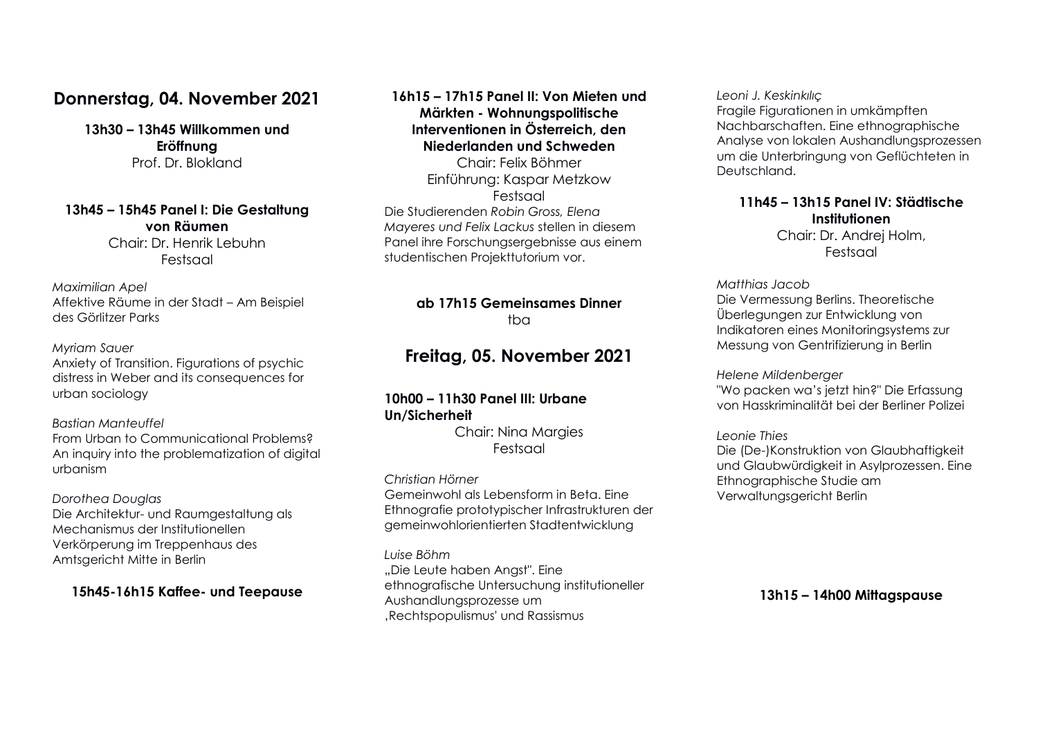# **Donnerstag, 04. November 2021**

**13h30 – 13h45 Willkommen und Eröffnung**  Prof. Dr. Blokland

#### **13h45 – 15h45 Panel I: Die Gestaltung von Räumen**

Chair: Dr. Henrik Lebuhn Festsaal

*Maximilian Apel* Affektive Räume in der Stadt – Am Beispiel des Görlitzer Parks

#### *Myriam Sauer*

Anxiety of Transition. Figurations of psychic distress in Weber and its consequences for urban sociology

#### *Bastian Manteuffel*

From Urban to Communicational Problems? An inquiry into the problematization of digital urbanism

#### *Dorothea Douglas*

Die Architektur- und Raumgestaltung als Mechanismus der Institutionellen Verkörperung im Treppenhaus des Amtsgericht Mitte in Berlin

#### **15h45-16h15 Kaffee- und Teepause**

### **16h15 – 17h15 Panel II: Von Mieten und Märkten - Wohnungspolitische Interventionen in Österreich, den Niederlanden und Schweden**

Chair: Felix Böhmer Einführung: Kaspar Metzkow Festsaal Die Studierenden *Robin Gross, Elena Mayeres und Felix Lackus* stellen in diesem Panel ihre Forschungsergebnisse aus einem studentischen Projekttutorium vor.

#### **ab 17h15 Gemeinsames Dinner**   $tha$

# **Freitag, 05. November 2021**

#### **10h00 – 11h30 Panel III: Urbane Un/Sicherheit**

Chair: Nina Margies Festsaal

*Christian Hörner* Gemeinwohl als Lebensform in Beta. Eine Ethnografie prototypischer Infrastrukturen der gemeinwohlorientierten Stadtentwicklung

#### *Luise Böhm*

"Die Leute haben Angst". Eine ethnografische Untersuchung institutioneller Aushandlungsprozesse um 'Rechtspopulismus' und Rassismus

*Leoni J. Keskinkılıç*

Fragile Figurationen in umkämpften Nachbarschaften. Eine ethnographische Analyse von lokalen Aushandlungsprozessen um die Unterbringung von Geflüchteten in Deutschland.

#### **11h45 – 13h15 Panel IV: Städtische Institutionen**

Chair: Dr. Andrej Holm, Festsaal

#### *Matthias Jacob*

Die Vermessung Berlins. Theoretische Überlegungen zur Entwicklung von Indikatoren eines Monitoringsystems zur Messung von Gentrifizierung in Berlin

*Helene Mildenberger*

"Wo packen wa's jetzt hin?" Die Erfassung von Hasskriminalität bei der Berliner Polizei

#### *Leonie Thies*

Die (De-)Konstruktion von Glaubhaftigkeit und Glaubwürdigkeit in Asylprozessen. Eine Ethnographische Studie am Verwaltungsgericht Berlin

**13h15 – 14h00 Mittagspause**